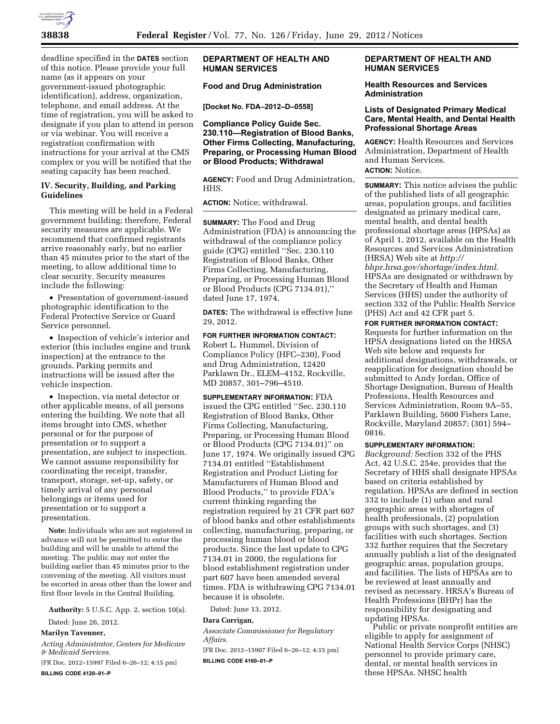

deadline specified in the **DATES** section of this notice. Please provide your full name (as it appears on your government-issued photographic identification), address, organization, telephone, and email address. At the time of registration, you will be asked to designate if you plan to attend in person or via webinar. You will receive a registration confirmation with instructions for your arrival at the CMS complex or you will be notified that the seating capacity has been reached.

# **IV. Security, Building, and Parking Guidelines**

This meeting will be held in a Federal government building; therefore, Federal security measures are applicable. We recommend that confirmed registrants arrive reasonably early, but no earlier than 45 minutes prior to the start of the meeting, to allow additional time to clear security. Security measures include the following:

• Presentation of government-issued photographic identification to the Federal Protective Service or Guard Service personnel.

• Inspection of vehicle's interior and exterior (this includes engine and trunk inspection) at the entrance to the grounds. Parking permits and instructions will be issued after the vehicle inspection.

• Inspection, via metal detector or other applicable means, of all persons entering the building. We note that all items brought into CMS, whether personal or for the purpose of presentation or to support a presentation, are subject to inspection. We cannot assume responsibility for coordinating the receipt, transfer, transport, storage, set-up, safety, or timely arrival of any personal belongings or items used for presentation or to support a presentation.

**Note:** Individuals who are not registered in advance will not be permitted to enter the building and will be unable to attend the meeting. The public may not enter the building earlier than 45 minutes prior to the convening of the meeting. All visitors must be escorted in areas other than the lower and first floor levels in the Central Building.

**Authority:** 5 U.S.C. App. 2, section 10(a).

Dated: June 26, 2012.

### **Marilyn Tavenner,**

*Acting Administrator, Centers for Medicare & Medicaid Services.* 

[FR Doc. 2012–15997 Filed 6–26–12; 4:15 pm] **BILLING CODE 4120–01–P** 

# **DEPARTMENT OF HEALTH AND HUMAN SERVICES**

# **Food and Drug Administration**

**[Docket No. FDA–2012–D–0558]** 

**Compliance Policy Guide Sec. 230.110—Registration of Blood Banks, Other Firms Collecting, Manufacturing, Preparing, or Processing Human Blood or Blood Products; Withdrawal** 

**AGENCY:** Food and Drug Administration, HHS.

**ACTION:** Notice; withdrawal.

**SUMMARY:** The Food and Drug Administration (FDA) is announcing the withdrawal of the compliance policy guide (CPG) entitled ''Sec. 230.110 Registration of Blood Banks, Other Firms Collecting, Manufacturing, Preparing, or Processing Human Blood or Blood Products (CPG 7134.01),'' dated June 17, 1974.

**DATES:** The withdrawal is effective June 29, 2012.

**FOR FURTHER INFORMATION CONTACT:**  Robert L. Hummel, Division of Compliance Policy (HFC–230), Food and Drug Administration, 12420 Parklawn Dr., ELEM–4152, Rockville, MD 20857, 301–796–4510.

**SUPPLEMENTARY INFORMATION:** FDA issued the CPG entitled ''Sec. 230.110 Registration of Blood Banks, Other Firms Collecting, Manufacturing, Preparing, or Processing Human Blood or Blood Products (CPG 7134.01)'' on June 17, 1974. We originally issued CPG 7134.01 entitled ''Establishment Registration and Product Listing for Manufacturers of Human Blood and Blood Products,'' to provide FDA's current thinking regarding the registration required by 21 CFR part 607 of blood banks and other establishments collecting, manufacturing, preparing, or processing human blood or blood products. Since the last update to CPG 7134.01 in 2000, the regulations for blood establishment registration under part 607 have been amended several times. FDA is withdrawing CPG 7134.01 because it is obsolete.

Dated: June 13, 2012.

#### **Dara Corrigan,**

*Associate Commissioner for Regulatory Affairs.* 

[FR Doc. 2012–15907 Filed 6–26–12; 4:15 pm] **BILLING CODE 4160–01–P** 

# **DEPARTMENT OF HEALTH AND HUMAN SERVICES**

### **Health Resources and Services Administration**

### **Lists of Designated Primary Medical Care, Mental Health, and Dental Health Professional Shortage Areas**

**AGENCY:** Health Resources and Services Administration, Department of Health and Human Services. **ACTION:** Notice.

**SUMMARY:** This notice advises the public of the published lists of all geographic areas, population groups, and facilities designated as primary medical care, mental health, and dental health professional shortage areas (HPSAs) as of April 1, 2012, available on the Health Resources and Services Administration (HRSA) Web site at *[http://](http://bhpr.hrsa.gov/shortage/index.html) [bhpr.hrsa.gov/shortage/index.html.](http://bhpr.hrsa.gov/shortage/index.html)*  HPSAs are designated or withdrawn by the Secretary of Health and Human Services (HHS) under the authority of section 332 of the Public Health Service (PHS) Act and 42 CFR part 5.

**FOR FURTHER INFORMATION CONTACT:**  Requests for further information on the HPSA designations listed on the HRSA Web site below and requests for additional designations, withdrawals, or reapplication for designation should be submitted to Andy Jordan, Office of Shortage Designation, Bureau of Health Professions, Health Resources and Services Administration, Room 9A–55, Parklawn Building, 5600 Fishers Lane, Rockville, Maryland 20857; (301) 594– 0816.

#### **SUPPLEMENTARY INFORMATION:**

*Background:* Section 332 of the PHS Act, 42 U.S.C. 254e, provides that the Secretary of HHS shall designate HPSAs based on criteria established by regulation. HPSAs are defined in section 332 to include (1) urban and rural geographic areas with shortages of health professionals, (2) population groups with such shortages, and (3) facilities with such shortages. Section 332 further requires that the Secretary annually publish a list of the designated geographic areas, population groups, and facilities. The lists of HPSAs are to be reviewed at least annually and revised as necessary. HRSA's Bureau of Health Professions (BHPr) has the responsibility for designating and updating HPSAs.

Public or private nonprofit entities are eligible to apply for assignment of National Health Service Corps (NHSC) personnel to provide primary care, dental, or mental health services in these HPSAs. NHSC health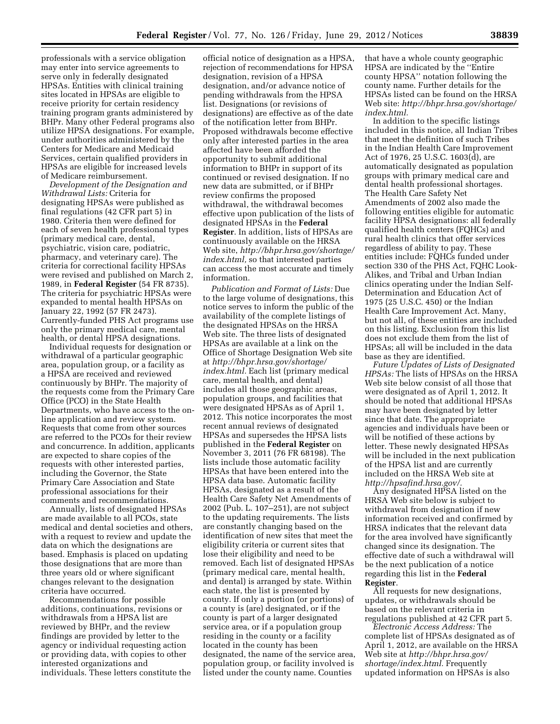professionals with a service obligation may enter into service agreements to serve only in federally designated HPSAs. Entities with clinical training sites located in HPSAs are eligible to receive priority for certain residency training program grants administered by BHPr. Many other Federal programs also utilize HPSA designations. For example, under authorities administered by the Centers for Medicare and Medicaid Services, certain qualified providers in HPSAs are eligible for increased levels of Medicare reimbursement.

*Development of the Designation and Withdrawal Lists:* Criteria for designating HPSAs were published as final regulations (42 CFR part 5) in 1980. Criteria then were defined for each of seven health professional types (primary medical care, dental, psychiatric, vision care, podiatric, pharmacy, and veterinary care). The criteria for correctional facility HPSAs were revised and published on March 2, 1989, in **Federal Register** (54 FR 8735). The criteria for psychiatric HPSAs were expanded to mental health HPSAs on January 22, 1992 (57 FR 2473). Currently-funded PHS Act programs use only the primary medical care, mental health, or dental HPSA designations.

Individual requests for designation or withdrawal of a particular geographic area, population group, or a facility as a HPSA are received and reviewed continuously by BHPr. The majority of the requests come from the Primary Care Office (PCO) in the State Health Departments, who have access to the online application and review system. Requests that come from other sources are referred to the PCOs for their review and concurrence. In addition, applicants are expected to share copies of the requests with other interested parties, including the Governor, the State Primary Care Association and State professional associations for their comments and recommendations.

Annually, lists of designated HPSAs are made available to all PCOs, state medical and dental societies and others, with a request to review and update the data on which the designations are based. Emphasis is placed on updating those designations that are more than three years old or where significant changes relevant to the designation criteria have occurred.

Recommendations for possible additions, continuations, revisions or withdrawals from a HPSA list are reviewed by BHPr, and the review findings are provided by letter to the agency or individual requesting action or providing data, with copies to other interested organizations and individuals. These letters constitute the

official notice of designation as a HPSA, rejection of recommendations for HPSA designation, revision of a HPSA designation, and/or advance notice of pending withdrawals from the HPSA list. Designations (or revisions of designations) are effective as of the date of the notification letter from BHPr. Proposed withdrawals become effective only after interested parties in the area affected have been afforded the opportunity to submit additional information to BHPr in support of its continued or revised designation. If no new data are submitted, or if BHPr review confirms the proposed withdrawal, the withdrawal becomes effective upon publication of the lists of designated HPSAs in the **Federal Register**. In addition, lists of HPSAs are continuously available on the HRSA Web site, *[http://bhpr.hrsa.gov/shortage/](http://bhpr.hrsa.gov/shortage/index.html)  [index.html,](http://bhpr.hrsa.gov/shortage/index.html)* so that interested parties can access the most accurate and timely information.

*Publication and Format of Lists:* Due to the large volume of designations, this notice serves to inform the public of the availability of the complete listings of the designated HPSAs on the HRSA Web site. The three lists of designated HPSAs are available at a link on the Office of Shortage Designation Web site at *[http://bhpr.hrsa.gov/shortage/](http://bhpr.hrsa.gov/shortage/index.html) [index.html.](http://bhpr.hrsa.gov/shortage/index.html)* Each list (primary medical care, mental health, and dental) includes all those geographic areas, population groups, and facilities that were designated HPSAs as of April 1, 2012. This notice incorporates the most recent annual reviews of designated HPSAs and supersedes the HPSA lists published in the **Federal Register** on November 3, 2011 (76 FR 68198). The lists include those automatic facility HPSAs that have been entered into the HPSA data base. Automatic facility HPSAs, designated as a result of the Health Care Safety Net Amendments of 2002 (Pub. L. 107–251), are not subject to the updating requirements. The lists are constantly changing based on the identification of new sites that meet the eligibility criteria or current sites that lose their eligibility and need to be removed. Each list of designated HPSAs (primary medical care, mental health, and dental) is arranged by state. Within each state, the list is presented by county. If only a portion (or portions) of a county is (are) designated, or if the county is part of a larger designated service area, or if a population group residing in the county or a facility located in the county has been designated, the name of the service area, population group, or facility involved is listed under the county name. Counties

that have a whole county geographic HPSA are indicated by the ''Entire county HPSA'' notation following the county name. Further details for the HPSAs listed can be found on the HRSA Web site: *[http://bhpr.hrsa.gov/shortage/](http://bhpr.hrsa.gov/shortage/index.html)  [index.html.](http://bhpr.hrsa.gov/shortage/index.html)* 

In addition to the specific listings included in this notice, all Indian Tribes that meet the definition of such Tribes in the Indian Health Care Improvement Act of 1976, 25 U.S.C. 1603(d), are automatically designated as population groups with primary medical care and dental health professional shortages. The Health Care Safety Net Amendments of 2002 also made the following entities eligible for automatic facility HPSA designations: all federally qualified health centers (FQHCs) and rural health clinics that offer services regardless of ability to pay. These entities include: FQHCs funded under section 330 of the PHS Act, FQHC Look-Alikes, and Tribal and Urban Indian clinics operating under the Indian Self-Determination and Education Act of 1975 (25 U.S.C. 450) or the Indian Health Care Improvement Act. Many, but not all, of these entities are included on this listing. Exclusion from this list does not exclude them from the list of HPSAs; all will be included in the data base as they are identified.

*Future Updates of Lists of Designated HPSAs:* The lists of HPSAs on the HRSA Web site below consist of all those that were designated as of April 1, 2012. It should be noted that additional HPSAs may have been designated by letter since that date. The appropriate agencies and individuals have been or will be notified of these actions by letter. These newly designated HPSAs will be included in the next publication of the HPSA list and are currently included on the HRSA Web site at *[http://hpsafind.hrsa.gov/.](http://hpsafind.hrsa.gov/)* 

Any designated HPSA listed on the HRSA Web site below is subject to withdrawal from designation if new information received and confirmed by HRSA indicates that the relevant data for the area involved have significantly changed since its designation. The effective date of such a withdrawal will be the next publication of a notice regarding this list in the **Federal Register**.

All requests for new designations, updates, or withdrawals should be based on the relevant criteria in regulations published at 42 CFR part 5.

*Electronic Access Address:* The complete list of HPSAs designated as of April 1, 2012, are available on the HRSA Web site at *[http://bhpr.hrsa.gov/](http://bhpr.hrsa.gov/shortage/index.html)  [shortage/index.html.](http://bhpr.hrsa.gov/shortage/index.html)* Frequently updated information on HPSAs is also